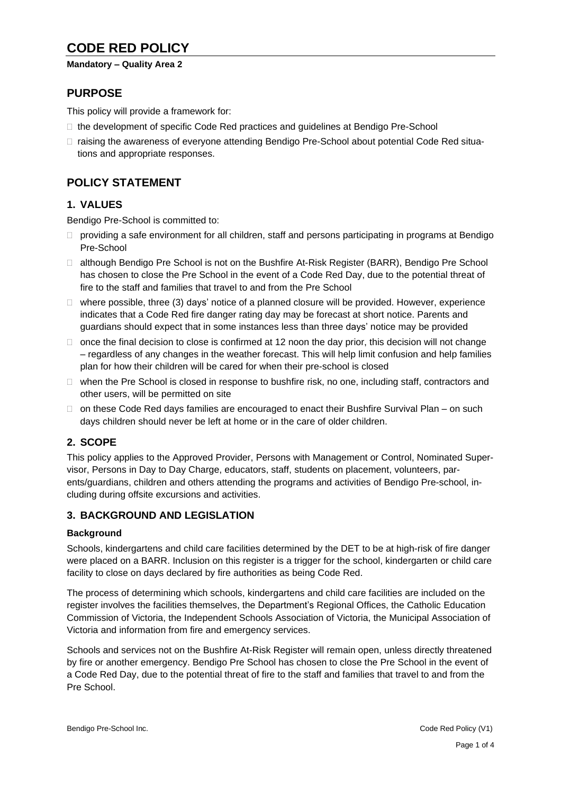# **CODE RED POLICY**

#### **Mandatory – Quality Area 2**

# **PURPOSE**

This policy will provide a framework for:

- □ the development of specific Code Red practices and guidelines at Bendigo Pre-School
- □ raising the awareness of everyone attending Bendigo Pre-School about potential Code Red situations and appropriate responses.

# **POLICY STATEMENT**

# **1. VALUES**

Bendigo Pre-School is committed to:

- $\Box$  providing a safe environment for all children, staff and persons participating in programs at Bendigo Pre-School
- □ although Bendigo Pre School is not on the Bushfire At-Risk Register (BARR), Bendigo Pre School has chosen to close the Pre School in the event of a Code Red Day, due to the potential threat of fire to the staff and families that travel to and from the Pre School
- $\Box$  where possible, three (3) days' notice of a planned closure will be provided. However, experience indicates that a Code Red fire danger rating day may be forecast at short notice. Parents and guardians should expect that in some instances less than three days' notice may be provided
- $\Box$  once the final decision to close is confirmed at 12 noon the day prior, this decision will not change – regardless of any changes in the weather forecast. This will help limit confusion and help families plan for how their children will be cared for when their pre-school is closed
- $\Box$  when the Pre School is closed in response to bushfire risk, no one, including staff, contractors and other users, will be permitted on site
- $\Box$  on these Code Red days families are encouraged to enact their Bushfire Survival Plan on such days children should never be left at home or in the care of older children.

# **2. SCOPE**

This policy applies to the Approved Provider, Persons with Management or Control, Nominated Supervisor, Persons in Day to Day Charge, educators, staff, students on placement, volunteers, parents/guardians, children and others attending the programs and activities of Bendigo Pre-school, including during offsite excursions and activities.

### **3. BACKGROUND AND LEGISLATION**

#### **Background**

Schools, kindergartens and child care facilities determined by the DET to be at high-risk of fire danger were placed on a BARR. Inclusion on this register is a trigger for the school, kindergarten or child care facility to close on days declared by fire authorities as being Code Red.

The process of determining which schools, kindergartens and child care facilities are included on the register involves the facilities themselves, the Department's Regional Offices, the Catholic Education Commission of Victoria, the Independent Schools Association of Victoria, the Municipal Association of Victoria and information from fire and emergency services.

Schools and services not on the Bushfire At-Risk Register will remain open, unless directly threatened by fire or another emergency. Bendigo Pre School has chosen to close the Pre School in the event of a Code Red Day, due to the potential threat of fire to the staff and families that travel to and from the Pre School.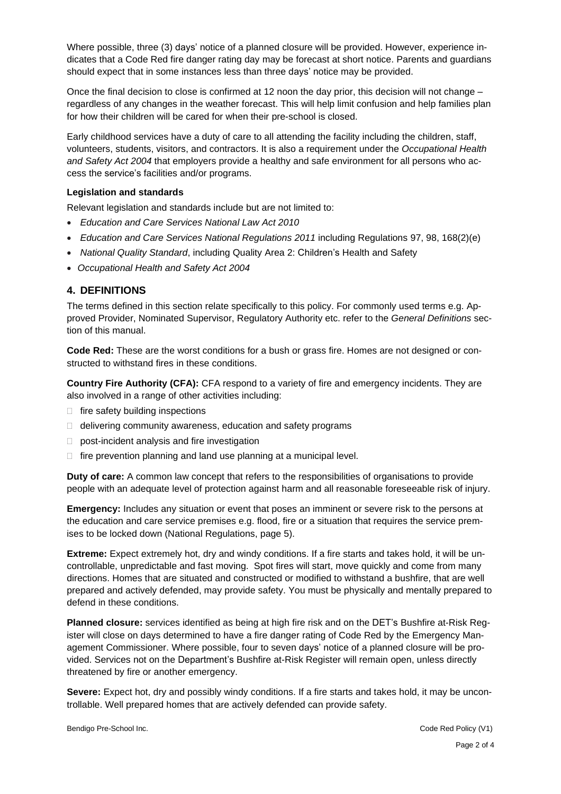Where possible, three (3) days' notice of a planned closure will be provided. However, experience indicates that a Code Red fire danger rating day may be forecast at short notice. Parents and guardians should expect that in some instances less than three days' notice may be provided.

Once the final decision to close is confirmed at 12 noon the day prior, this decision will not change – regardless of any changes in the weather forecast. This will help limit confusion and help families plan for how their children will be cared for when their pre-school is closed.

Early childhood services have a duty of care to all attending the facility including the children, staff, volunteers, students, visitors, and contractors. It is also a requirement under the *Occupational Health and Safety Act 2004* that employers provide a healthy and safe environment for all persons who access the service's facilities and/or programs.

#### **Legislation and standards**

Relevant legislation and standards include but are not limited to:

- *Education and Care Services National Law Act 2010*
- *Education and Care Services National Regulations 2011* including Regulations 97, 98, 168(2)(e)
- *National Quality Standard*, including Quality Area 2: Children's Health and Safety
- *Occupational Health and Safety Act 2004*

#### **4. DEFINITIONS**

The terms defined in this section relate specifically to this policy. For commonly used terms e.g. Approved Provider, Nominated Supervisor, Regulatory Authority etc. refer to the *General Definitions* section of this manual.

**Code Red:** These are the worst conditions for a bush or grass fire. Homes are not designed or constructed to withstand fires in these conditions.

**Country Fire Authority (CFA):** CFA respond to a variety of fire and emergency incidents. They are also involved in a range of other activities including:

- $\Box$  fire safety building inspections
- $\Box$  delivering community awareness, education and safety programs
- $\Box$  post-incident analysis and fire investigation
- $\Box$  fire prevention planning and land use planning at a municipal level.

**Duty of care:** A common law concept that refers to the responsibilities of organisations to provide people with an adequate level of protection against harm and all reasonable foreseeable risk of injury.

**Emergency:** Includes any situation or event that poses an imminent or severe risk to the persons at the education and care service premises e.g. flood, fire or a situation that requires the service premises to be locked down (National Regulations, page 5).

**Extreme:** Expect extremely hot, dry and windy conditions. If a fire starts and takes hold, it will be uncontrollable, unpredictable and fast moving. Spot fires will start, move quickly and come from many directions. Homes that are situated and constructed or modified to withstand a bushfire, that are well prepared and actively defended, may provide safety. You must be physically and mentally prepared to defend in these conditions.

**Planned closure:** services identified as being at high fire risk and on the DET's Bushfire at-Risk Register will close on days determined to have a fire danger rating of Code Red by the Emergency Management Commissioner. Where possible, four to seven days' notice of a planned closure will be provided. Services not on the Department's Bushfire at-Risk Register will remain open, unless directly threatened by fire or another emergency.

**Severe:** Expect hot, dry and possibly windy conditions. If a fire starts and takes hold, it may be uncontrollable. Well prepared homes that are actively defended can provide safety.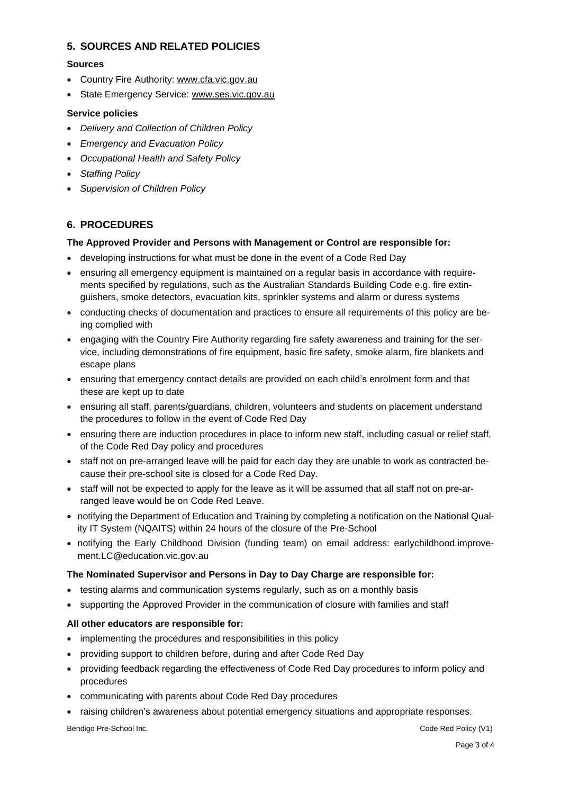### **5. SOURCES AND RELATED POLICIES**

#### **Sources**

- Country Fire Authority: [www.cfa.vic.gov.au](http://www.cfa.vic.gov.au/)
- State Emergency Service: [www.ses.vic.gov.au](http://www.ses.vic.gov.au/)

#### **Service policies**

- *Delivery and Collection of Children Policy*
- *Emergency and Evacuation Policy*
- *Occupational Health and Safety Policy*
- *Staffing Policy*
- *Supervision of Children Policy*

# **6. PROCEDURES**

#### **The Approved Provider and Persons with Management or Control are responsible for:**

- developing instructions for what must be done in the event of a Code Red Day
- ensuring all emergency equipment is maintained on a regular basis in accordance with requirements specified by regulations, such as the Australian Standards Building Code e.g. fire extinguishers, smoke detectors, evacuation kits, sprinkler systems and alarm or duress systems
- conducting checks of documentation and practices to ensure all requirements of this policy are being complied with
- engaging with the Country Fire Authority regarding fire safety awareness and training for the service, including demonstrations of fire equipment, basic fire safety, smoke alarm, fire blankets and escape plans
- ensuring that emergency contact details are provided on each child's enrolment form and that these are kept up to date
- ensuring all staff, parents/guardians, children, volunteers and students on placement understand the procedures to follow in the event of Code Red Day
- ensuring there are induction procedures in place to inform new staff, including casual or relief staff, of the Code Red Day policy and procedures
- staff not on pre-arranged leave will be paid for each day they are unable to work as contracted because their pre-school site is closed for a Code Red Day.
- staff will not be expected to apply for the leave as it will be assumed that all staff not on pre-arranged leave would be on Code Red Leave.
- notifying the Department of Education and Training by completing a notification on the National Quality IT System (NQAITS) within 24 hours of the closure of the Pre-School
- notifying the Early Childhood Division (funding team) on email address: earlychildhood.improvement.LC@education.vic.gov.au

#### **The Nominated Supervisor and Persons in Day to Day Charge are responsible for:**

- testing alarms and communication systems regularly, such as on a monthly basis
- supporting the Approved Provider in the communication of closure with families and staff

#### **All other educators are responsible for:**

- implementing the procedures and responsibilities in this policy
- providing support to children before, during and after Code Red Day
- providing feedback regarding the effectiveness of Code Red Day procedures to inform policy and procedures
- communicating with parents about Code Red Day procedures
- raising children's awareness about potential emergency situations and appropriate responses.

Bendigo Pre-School Inc. **Code Red Policy (V1)** Bendigo Pre-School Inc.